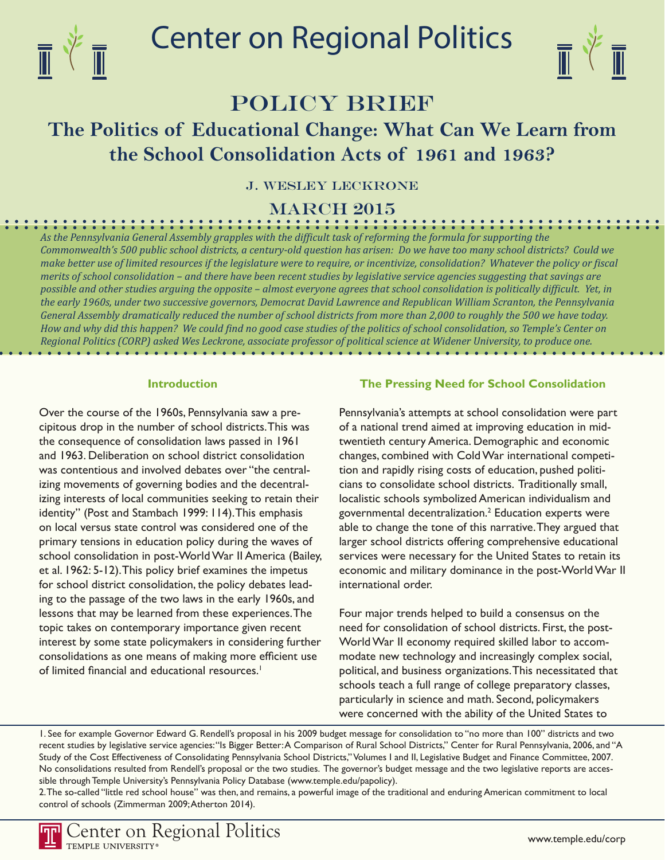

# Center on Regional Politics



## POLICY BRIEF

## **The Politics of Educational Change: What Can We Learn from the School Consolidation Acts of 1961 and 1963?**

J. Wesley Leckrone

march 2015

*As the Pennsylvania General Assembly grapples with the difficult task of reforming the formula for supporting the Commonwealth's 500 public school districts, a century-old question has arisen: Do we have too many school districts? Could we make better use of limited resources if the legislature were to require, or incentivize, consolidation? Whatever the policy or fiscal merits of school consolidation – and there have been recent studies by legislative service agencies suggesting that savings are possible and other studies arguing the opposite – almost everyone agrees that school consolidation is politically difficult. Yet, in the early 1960s, under two successive governors, Democrat David Lawrence and Republican William Scranton, the Pennsylvania General Assembly dramatically reduced the number of school districts from more than 2,000 to roughly the 500 we have today. How and why did this happen? We could find no good case studies of the politics of school consolidation, so Temple's Center on Regional Politics (CORP) asked Wes Leckrone, associate professor of political science at Widener University, to produce one.* 

#### **Introduction**

Over the course of the 1960s, Pennsylvania saw a precipitous drop in the number of school districts. This was the consequence of consolidation laws passed in 1961 and 1963. Deliberation on school district consolidation was contentious and involved debates over "the centralizing movements of governing bodies and the decentralizing interests of local communities seeking to retain their identity" (Post and Stambach 1999: 114). This emphasis on local versus state control was considered one of the primary tensions in education policy during the waves of school consolidation in post-World War II America (Bailey, et al. 1962: 5-12). This policy brief examines the impetus for school district consolidation, the policy debates leading to the passage of the two laws in the early 1960s, and lessons that may be learned from these experiences. The topic takes on contemporary importance given recent interest by some state policymakers in considering further consolidations as one means of making more efficient use of limited financial and educational resources.<sup>1</sup>

#### **The Pressing Need for School Consolidation**

Pennsylvania's attempts at school consolidation were part of a national trend aimed at improving education in midtwentieth century America. Demographic and economic changes, combined with Cold War international competition and rapidly rising costs of education, pushed politicians to consolidate school districts. Traditionally small, localistic schools symbolized American individualism and governmental decentralization.2 Education experts were able to change the tone of this narrative. They argued that larger school districts offering comprehensive educational services were necessary for the United States to retain its economic and military dominance in the post-World War II international order.

Four major trends helped to build a consensus on the need for consolidation of school districts. First, the post-World War II economy required skilled labor to accommodate new technology and increasingly complex social, political, and business organizations. This necessitated that schools teach a full range of college preparatory classes, particularly in science and math. Second, policymakers were concerned with the ability of the United States to

1. See for example Governor Edward G. Rendell's proposal in his 2009 budget message for consolidation to "no more than 100" districts and two recent studies by legislative service agencies: "Is Bigger Better: A Comparison of Rural School Districts," Center for Rural Pennsylvania, 2006, and "A Study of the Cost Effectiveness of Consolidating Pennsylvania School Districts," Volumes I and II, Legislative Budget and Finance Committee, 2007. No consolidations resulted from Rendell's proposal or the two studies. The governor's budget message and the two legislative reports are accessible through Temple University's Pennsylvania Policy Database (www.temple.edu/papolicy).

2. The so-called "little red school house" was then, and remains, a powerful image of the traditional and enduring American commitment to local control of schools (Zimmerman 2009; Atherton 2014).

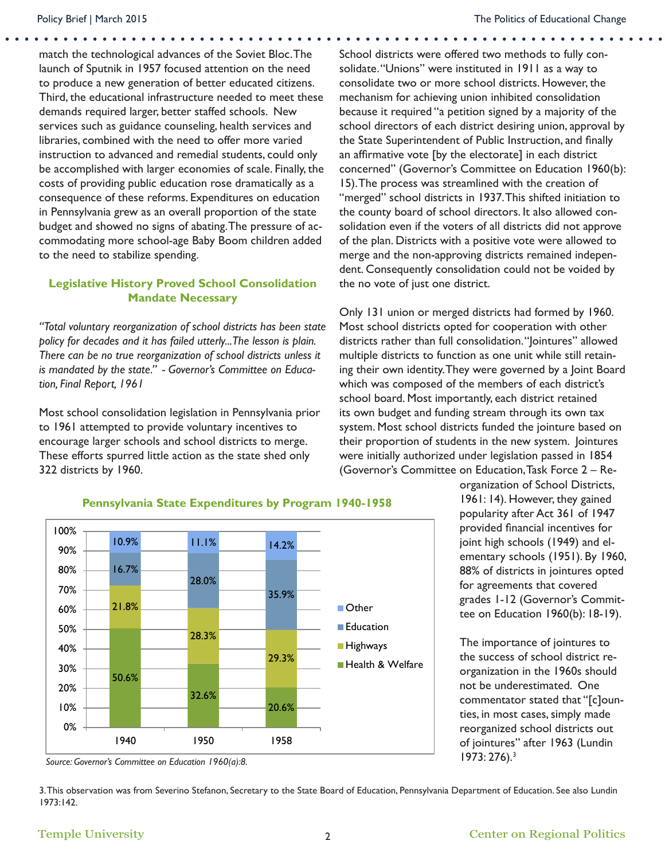match the technological advances of the Soviet Bloc. The launch of Sputnik in 1957 focused attention on the need to produce a new generation of better educated citizens. Third, the educational infrastructure needed to meet these demands required larger, better staffed schools. New services such as guidance counseling, health services and libraries, combined with the need to offer more varied instruction to advanced and remedial students, could only be accomplished with larger economies of scale. Finally, the costs of providing public education rose dramatically as a consequence of these reforms. Expenditures on education in Pennsylvania grew as an overall proportion of the state budget and showed no signs of abating. The pressure of accommodating more school-age Baby Boom children added to the need to stabilize spending.

### **Legislative History Proved School Consolidation Mandate Necessary**

*"Total voluntary reorganization of school districts has been state policy for decades and it has failed utterly...The lesson is plain. There can be no true reorganization of school districts unless it is mandated by the state." - Governor's Committee on Education, Final Report, 1961*

Most school consolidation legislation in Pennsylvania prior to 1961 attempted to provide voluntary incentives to encourage larger schools and school districts to merge. These efforts spurred little action as the state shed only 322 districts by 1960.

School districts were offered two methods to fully consolidate. "Unions" were instituted in 1911 as a way to consolidate two or more school districts. However, the mechanism for achieving union inhibited consolidation because it required "a petition signed by a majority of the school directors of each district desiring union, approval by the State Superintendent of Public Instruction, and finally an affirmative vote [by the electorate] in each district concerned" (Governor's Committee on Education 1960(b): 15). The process was streamlined with the creation of "merged" school districts in 1937. This shifted initiation to the county board of school directors. It also allowed consolidation even if the voters of all districts did not approve of the plan. Districts with a positive vote were allowed to merge and the non-approving districts remained independent. Consequently consolidation could not be voided by the no vote of just one district.

Only 131 union or merged districts had formed by 1960. Most school districts opted for cooperation with other districts rather than full consolidation. "Jointures" allowed multiple districts to function as one unit while still retaining their own identity. They were governed by a Joint Board which was composed of the members of each district's school board. Most importantly, each district retained its own budget and funding stream through its own tax system. Most school districts funded the jointure based on their proportion of students in the new system. Jointures were initially authorized under legislation passed in 1854 (Governor's Committee on Education, Task Force 2 – Re-



#### **Pennsylvania State Expenditures by Program 1940-1958**

organization of School Districts, 1961: 14). However, they gained popularity after Act 361 of 1947 provided financial incentives for joint high schools (1949) and elementary schools (1951). By 1960, 88% of districts in jointures opted for agreements that covered grades 1-12 (Governor's Committee on Education 1960(b): 18-19).

The importance of jointures to the success of school district reorganization in the 1960s should not be underestimated. One commentator stated that "[c]ounties, in most cases, simply made reorganized school districts out of jointures" after 1963 (Lundin 1973: 276).3

3. This observation was from Severino Stefanon, Secretary to the State Board of Education, Pennsylvania Department of Education. See also Lundin 1973:142.

*Source: Governor's Committee on Education 1960(a):8.*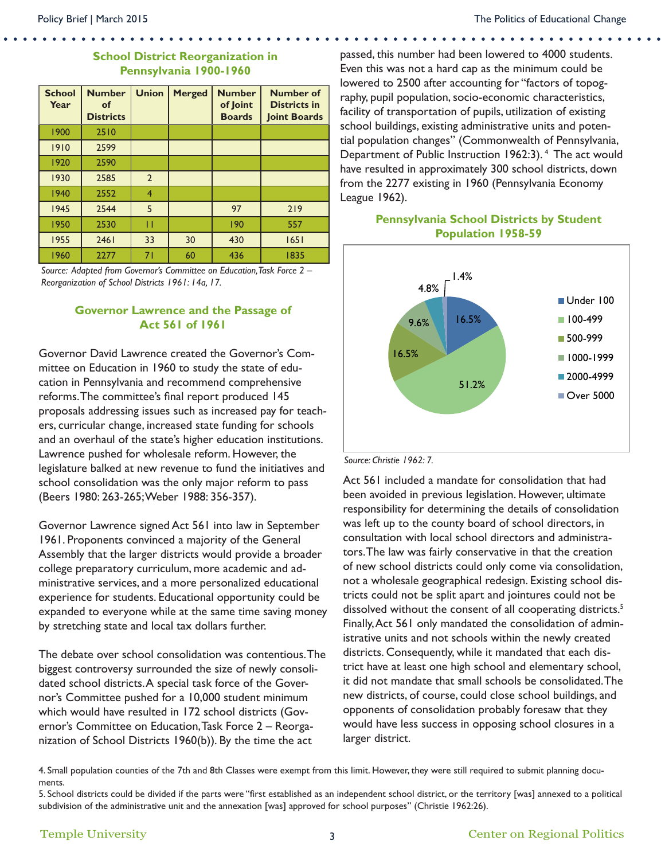#### **School District Reorganization in Pennsylvania 1900-1960**

| <b>School</b><br>Year | <b>Number</b><br><b>of</b><br><b>Districts</b> | <b>Union</b>   | <b>Merged</b> | <b>Number</b><br>of Joint<br><b>Boards</b> | <b>Number of</b><br><b>Districts in</b><br>Joint Boards |
|-----------------------|------------------------------------------------|----------------|---------------|--------------------------------------------|---------------------------------------------------------|
| 1900                  | 2510                                           |                |               |                                            |                                                         |
| 1910                  | 2599                                           |                |               |                                            |                                                         |
| 1920                  | 2590                                           |                |               |                                            |                                                         |
| 1930                  | 2585                                           | $\overline{2}$ |               |                                            |                                                         |
| 1940                  | 2552                                           | 4              |               |                                            |                                                         |
| 1945                  | 2544                                           | 5              |               | 97                                         | 219                                                     |
| 1950                  | 2530                                           | п              |               | 190                                        | 557                                                     |
| 1955                  | 2461                                           | 33             | 30            | 430                                        | 1651                                                    |
| 1960                  | 2277                                           | 71             | 60            | 436                                        | 1835                                                    |

*Source: Adapted from Governor's Committee on Education, Task Force 2 – Reorganization of School Districts 1961: 14a, 17.*

#### **Governor Lawrence and the Passage of Act 561 of 1961**

Governor David Lawrence created the Governor's Committee on Education in 1960 to study the state of education in Pennsylvania and recommend comprehensive reforms. The committee's final report produced 145 proposals addressing issues such as increased pay for teachers, curricular change, increased state funding for schools and an overhaul of the state's higher education institutions. Lawrence pushed for wholesale reform. However, the legislature balked at new revenue to fund the initiatives and school consolidation was the only major reform to pass (Beers 1980: 263-265; Weber 1988: 356-357).

Governor Lawrence signed Act 561 into law in September 1961. Proponents convinced a majority of the General Assembly that the larger districts would provide a broader college preparatory curriculum, more academic and administrative services, and a more personalized educational experience for students. Educational opportunity could be expanded to everyone while at the same time saving money by stretching state and local tax dollars further.

The debate over school consolidation was contentious. The biggest controversy surrounded the size of newly consolidated school districts. A special task force of the Governor's Committee pushed for a 10,000 student minimum which would have resulted in 172 school districts (Governor's Committee on Education, Task Force 2 – Reorganization of School Districts 1960(b)). By the time the act

passed, this number had been lowered to 4000 students. Even this was not a hard cap as the minimum could be lowered to 2500 after accounting for "factors of topography, pupil population, socio-economic characteristics, facility of transportation of pupils, utilization of existing school buildings, existing administrative units and potential population changes" (Commonwealth of Pennsylvania, Department of Public Instruction 1962:3). 4 The act would have resulted in approximately 300 school districts, down from the 2277 existing in 1960 (Pennsylvania Economy League 1962).



### **Pennsylvania School Districts by Student Population 1958-59**

#### *Source: Christie 1962: 7.*

Act 561 included a mandate for consolidation that had been avoided in previous legislation. However, ultimate responsibility for determining the details of consolidation was left up to the county board of school directors, in consultation with local school directors and administrators. The law was fairly conservative in that the creation of new school districts could only come via consolidation, not a wholesale geographical redesign. Existing school districts could not be split apart and jointures could not be dissolved without the consent of all cooperating districts.<sup>5</sup> Finally, Act 561 only mandated the consolidation of administrative units and not schools within the newly created districts. Consequently, while it mandated that each district have at least one high school and elementary school, it did not mandate that small schools be consolidated. The new districts, of course, could close school buildings, and opponents of consolidation probably foresaw that they would have less success in opposing school closures in a larger district.

4. Small population counties of the 7th and 8th Classes were exempt from this limit. However, they were still required to submit planning documents.

5. School districts could be divided if the parts were "first established as an independent school district, or the territory [was] annexed to a political subdivision of the administrative unit and the annexation [was] approved for school purposes" (Christie 1962:26).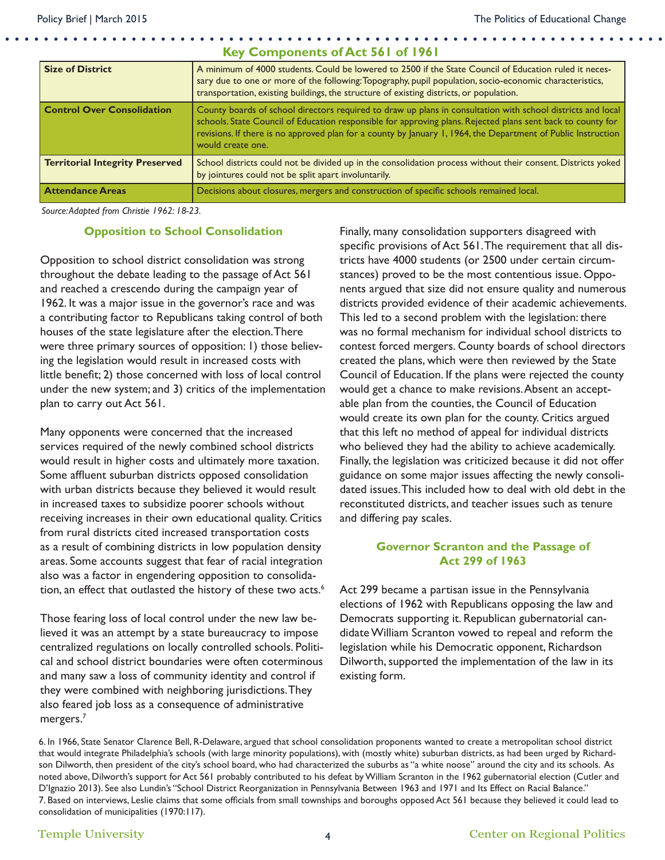| <b>Size of District</b>                | A minimum of 4000 students. Could be lowered to 2500 if the State Council of Education ruled it neces-<br>sary due to one or more of the following: Topography, pupil population, socio-economic characteristics,<br>transportation, existing buildings, the structure of existing districts, or population.                                                     |  |  |  |
|----------------------------------------|------------------------------------------------------------------------------------------------------------------------------------------------------------------------------------------------------------------------------------------------------------------------------------------------------------------------------------------------------------------|--|--|--|
| <b>Control Over Consolidation</b>      | County boards of school directors required to draw up plans in consultation with school districts and local<br>schools. State Council of Education responsible for approving plans. Rejected plans sent back to county for<br>revisions. If there is no approved plan for a county by January 1, 1964, the Department of Public Instruction<br>would create one. |  |  |  |
| <b>Territorial Integrity Preserved</b> | School districts could not be divided up in the consolidation process without their consent. Districts yoked<br>by jointures could not be split apart involuntarily.                                                                                                                                                                                             |  |  |  |
| <b>Attendance Areas</b>                | Decisions about closures, mergers and construction of specific schools remained local.                                                                                                                                                                                                                                                                           |  |  |  |

**Key Components of Act 561 of 1961**

*Source: Adapted from Christie 1962: 18-23.*

#### **Opposition to School Consolidation**

Opposition to school district consolidation was strong throughout the debate leading to the passage of Act 561 and reached a crescendo during the campaign year of 1962. It was a major issue in the governor's race and was a contributing factor to Republicans taking control of both houses of the state legislature after the election. There were three primary sources of opposition: 1) those believing the legislation would result in increased costs with little benefit; 2) those concerned with loss of local control under the new system; and 3) critics of the implementation plan to carry out Act 561.

Many opponents were concerned that the increased services required of the newly combined school districts would result in higher costs and ultimately more taxation. Some affluent suburban districts opposed consolidation with urban districts because they believed it would result in increased taxes to subsidize poorer schools without receiving increases in their own educational quality. Critics from rural districts cited increased transportation costs as a result of combining districts in low population density areas. Some accounts suggest that fear of racial integration also was a factor in engendering opposition to consolidation, an effect that outlasted the history of these two acts.<sup>6</sup>

Those fearing loss of local control under the new law believed it was an attempt by a state bureaucracy to impose centralized regulations on locally controlled schools. Political and school district boundaries were often coterminous and many saw a loss of community identity and control if they were combined with neighboring jurisdictions. They also feared job loss as a consequence of administrative mergers.7

Finally, many consolidation supporters disagreed with specific provisions of Act 561. The requirement that all districts have 4000 students (or 2500 under certain circumstances) proved to be the most contentious issue. Opponents argued that size did not ensure quality and numerous districts provided evidence of their academic achievements. This led to a second problem with the legislation: there was no formal mechanism for individual school districts to contest forced mergers. County boards of school directors created the plans, which were then reviewed by the State Council of Education. If the plans were rejected the county would get a chance to make revisions. Absent an acceptable plan from the counties, the Council of Education would create its own plan for the county. Critics argued that this left no method of appeal for individual districts who believed they had the ability to achieve academically. Finally, the legislation was criticized because it did not offer guidance on some major issues affecting the newly consolidated issues. This included how to deal with old debt in the reconstituted districts, and teacher issues such as tenure and differing pay scales.

#### **Governor Scranton and the Passage of Act 299 of 1963**

Act 299 became a partisan issue in the Pennsylvania elections of 1962 with Republicans opposing the law and Democrats supporting it. Republican gubernatorial candidate William Scranton vowed to repeal and reform the legislation while his Democratic opponent, Richardson Dilworth, supported the implementation of the law in its existing form.

6. In 1966, State Senator Clarence Bell, R-Delaware, argued that school consolidation proponents wanted to create a metropolitan school district that would integrate Philadelphia's schools (with large minority populations), with (mostly white) suburban districts, as had been urged by Richardson Dilworth, then president of the city's school board, who had characterized the suburbs as "a white noose" around the city and its schools. As noted above, Dilworth's support for Act 561 probably contributed to his defeat by William Scranton in the 1962 gubernatorial election (Cutler and D'Ignazio 2013). See also Lundin's "School District Reorganization in Pennsylvania Between 1963 and 1971 and Its Effect on Racial Balance." 7. Based on interviews, Leslie claims that some officials from small townships and boroughs opposed Act 561 because they believed it could lead to consolidation of municipalities (1970:117).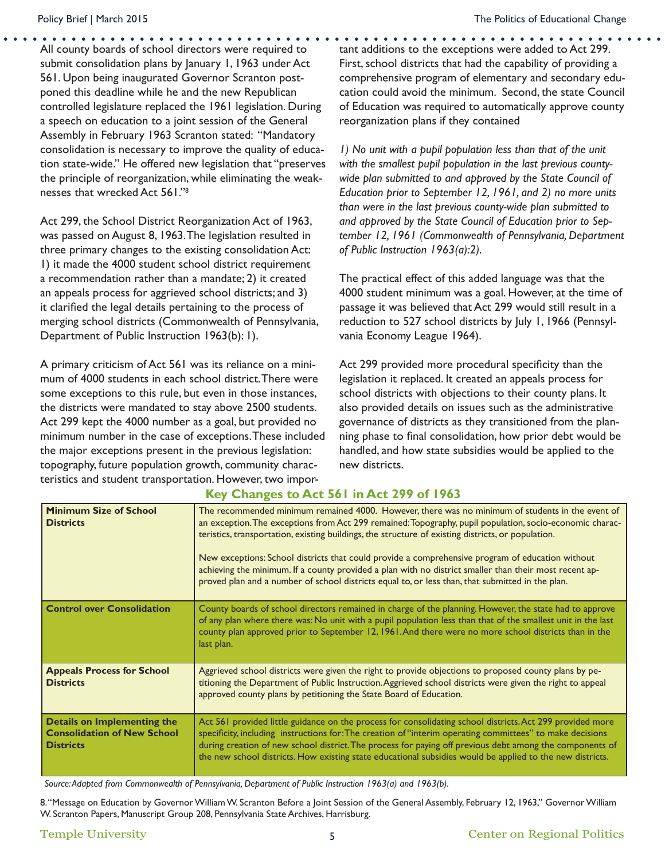All county boards of school directors were required to submit consolidation plans by January 1, 1963 under Act 561. Upon being inaugurated Governor Scranton postponed this deadline while he and the new Republican controlled legislature replaced the 1961 legislation. During a speech on education to a joint session of the General Assembly in February 1963 Scranton stated: "Mandatory consolidation is necessary to improve the quality of education state-wide." He offered new legislation that "preserves the principle of reorganization, while eliminating the weaknesses that wrecked Act 561."8

Act 299, the School District Reorganization Act of 1963, was passed on August 8, 1963. The legislation resulted in three primary changes to the existing consolidation Act: 1) it made the 4000 student school district requirement a recommendation rather than a mandate; 2) it created an appeals process for aggrieved school districts; and 3) it clarified the legal details pertaining to the process of merging school districts (Commonwealth of Pennsylvania, Department of Public Instruction 1963(b): 1).

A primary criticism of Act 561 was its reliance on a minimum of 4000 students in each school district. There were some exceptions to this rule, but even in those instances, the districts were mandated to stay above 2500 students. Act 299 kept the 4000 number as a goal, but provided no minimum number in the case of exceptions. These included the major exceptions present in the previous legislation: topography, future population growth, community characteristics and student transportation. However, two important additions to the exceptions were added to Act 299. First, school districts that had the capability of providing a comprehensive program of elementary and secondary education could avoid the minimum. Second, the state Council of Education was required to automatically approve county reorganization plans if they contained

*1) No unit with a pupil population less than that of the unit with the smallest pupil population in the last previous countywide plan submitted to and approved by the State Council of Education prior to September 12, 1961, and 2) no more units than were in the last previous county-wide plan submitted to and approved by the State Council of Education prior to September 12, 1961 (Commonwealth of Pennsylvania, Department of Public Instruction 1963(a):2).*

The practical effect of this added language was that the 4000 student minimum was a goal. However, at the time of passage it was believed that Act 299 would still result in a reduction to 527 school districts by July 1, 1966 (Pennsylvania Economy League 1964).

Act 299 provided more procedural specificity than the legislation it replaced. It created an appeals process for school districts with objections to their county plans. It also provided details on issues such as the administrative governance of districts as they transitioned from the planning phase to final consolidation, how prior debt would be handled, and how state subsidies would be applied to the new districts.

| <b>Minimum Size of School</b><br><b>Districts</b>                                            | The recommended minimum remained 4000. However, there was no minimum of students in the event of<br>an exception. The exceptions from Act 299 remained: Topography, pupil population, socio-economic charac-<br>teristics, transportation, existing buildings, the structure of existing districts, or population.<br>New exceptions: School districts that could provide a comprehensive program of education without<br>achieving the minimum. If a county provided a plan with no district smaller than their most recent ap-<br>proved plan and a number of school districts equal to, or less than, that submitted in the plan. |
|----------------------------------------------------------------------------------------------|--------------------------------------------------------------------------------------------------------------------------------------------------------------------------------------------------------------------------------------------------------------------------------------------------------------------------------------------------------------------------------------------------------------------------------------------------------------------------------------------------------------------------------------------------------------------------------------------------------------------------------------|
| <b>Control over Consolidation</b>                                                            | County boards of school directors remained in charge of the planning. However, the state had to approve<br>of any plan where there was: No unit with a pupil population less than that of the smallest unit in the last<br>county plan approved prior to September 12, 1961. And there were no more school districts than in the<br>last plan.                                                                                                                                                                                                                                                                                       |
| <b>Appeals Process for School</b><br><b>Districts</b>                                        | Aggrieved school districts were given the right to provide objections to proposed county plans by pe-<br>titioning the Department of Public Instruction. Aggrieved school districts were given the right to appeal<br>approved county plans by petitioning the State Board of Education.                                                                                                                                                                                                                                                                                                                                             |
| <b>Details on Implementing the</b><br><b>Consolidation of New School</b><br><b>Districts</b> | Act 561 provided little guidance on the process for consolidating school districts. Act 299 provided more<br>specificity, including instructions for: The creation of "interim operating committees" to make decisions<br>during creation of new school district. The process for paying off previous debt among the components of<br>the new school districts. How existing state educational subsidies would be applied to the new districts.                                                                                                                                                                                      |

#### **Key Changes to Act 561 in Act 299 of 1963**

*Source: Adapted from Commonwealth of Pennsylvania, Department of Public Instruction 1963(a) and 1963(b).*

8. "Message on Education by Governor William W. Scranton Before a Joint Session of the General Assembly, February 12, 1963," Governor William W. Scranton Papers, Manuscript Group 208, Pennsylvania State Archives, Harrisburg.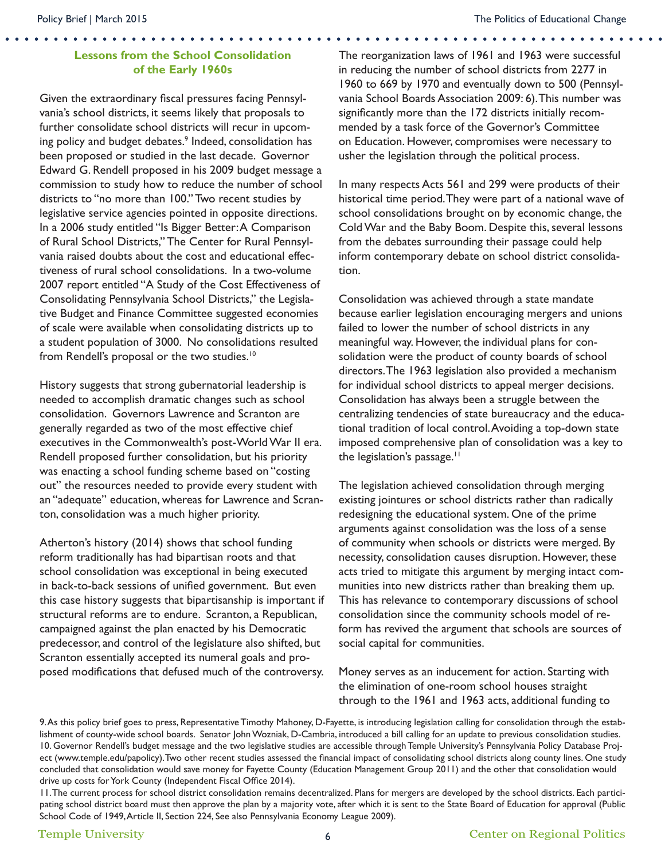#### **Lessons from the School Consolidation of the Early 1960s**

Given the extraordinary fiscal pressures facing Pennsylvania's school districts, it seems likely that proposals to further consolidate school districts will recur in upcoming policy and budget debates.<sup>9</sup> Indeed, consolidation has been proposed or studied in the last decade. Governor Edward G. Rendell proposed in his 2009 budget message a commission to study how to reduce the number of school districts to "no more than 100." Two recent studies by legislative service agencies pointed in opposite directions. In a 2006 study entitled "Is Bigger Better: A Comparison of Rural School Districts," The Center for Rural Pennsylvania raised doubts about the cost and educational effectiveness of rural school consolidations. In a two-volume 2007 report entitled "A Study of the Cost Effectiveness of Consolidating Pennsylvania School Districts," the Legislative Budget and Finance Committee suggested economies of scale were available when consolidating districts up to a student population of 3000. No consolidations resulted from Rendell's proposal or the two studies.<sup>10</sup>

History suggests that strong gubernatorial leadership is needed to accomplish dramatic changes such as school consolidation. Governors Lawrence and Scranton are generally regarded as two of the most effective chief executives in the Commonwealth's post-World War II era. Rendell proposed further consolidation, but his priority was enacting a school funding scheme based on "costing out" the resources needed to provide every student with an "adequate" education, whereas for Lawrence and Scranton, consolidation was a much higher priority.

Atherton's history (2014) shows that school funding reform traditionally has had bipartisan roots and that school consolidation was exceptional in being executed in back-to-back sessions of unified government. But even this case history suggests that bipartisanship is important if structural reforms are to endure. Scranton, a Republican, campaigned against the plan enacted by his Democratic predecessor, and control of the legislature also shifted, but Scranton essentially accepted its numeral goals and proposed modifications that defused much of the controversy.

The reorganization laws of 1961 and 1963 were successful in reducing the number of school districts from 2277 in 1960 to 669 by 1970 and eventually down to 500 (Pennsylvania School Boards Association 2009: 6). This number was significantly more than the 172 districts initially recommended by a task force of the Governor's Committee on Education. However, compromises were necessary to usher the legislation through the political process.

In many respects Acts 561 and 299 were products of their historical time period. They were part of a national wave of school consolidations brought on by economic change, the Cold War and the Baby Boom. Despite this, several lessons from the debates surrounding their passage could help inform contemporary debate on school district consolidation.

Consolidation was achieved through a state mandate because earlier legislation encouraging mergers and unions failed to lower the number of school districts in any meaningful way. However, the individual plans for consolidation were the product of county boards of school directors. The 1963 legislation also provided a mechanism for individual school districts to appeal merger decisions. Consolidation has always been a struggle between the centralizing tendencies of state bureaucracy and the educational tradition of local control. Avoiding a top-down state imposed comprehensive plan of consolidation was a key to the legislation's passage.<sup>11</sup>

The legislation achieved consolidation through merging existing jointures or school districts rather than radically redesigning the educational system. One of the prime arguments against consolidation was the loss of a sense of community when schools or districts were merged. By necessity, consolidation causes disruption. However, these acts tried to mitigate this argument by merging intact communities into new districts rather than breaking them up. This has relevance to contemporary discussions of school consolidation since the community schools model of reform has revived the argument that schools are sources of social capital for communities.

Money serves as an inducement for action. Starting with the elimination of one-room school houses straight through to the 1961 and 1963 acts, additional funding to

<sup>9.</sup> As this policy brief goes to press, Representative Timothy Mahoney, D-Fayette, is introducing legislation calling for consolidation through the establishment of county-wide school boards. Senator John Wozniak, D-Cambria, introduced a bill calling for an update to previous consolidation studies. 10. Governor Rendell's budget message and the two legislative studies are accessible through Temple University's Pennsylvania Policy Database Project (www.temple.edu/papolicy). Two other recent studies assessed the financial impact of consolidating school districts along county lines. One study concluded that consolidation would save money for Fayette County (Education Management Group 2011) and the other that consolidation would drive up costs for York County (Independent Fiscal Office 2014).

<sup>11.</sup> The current process for school district consolidation remains decentralized. Plans for mergers are developed by the school districts. Each participating school district board must then approve the plan by a majority vote, after which it is sent to the State Board of Education for approval (Public School Code of 1949, Article II, Section 224, See also Pennsylvania Economy League 2009).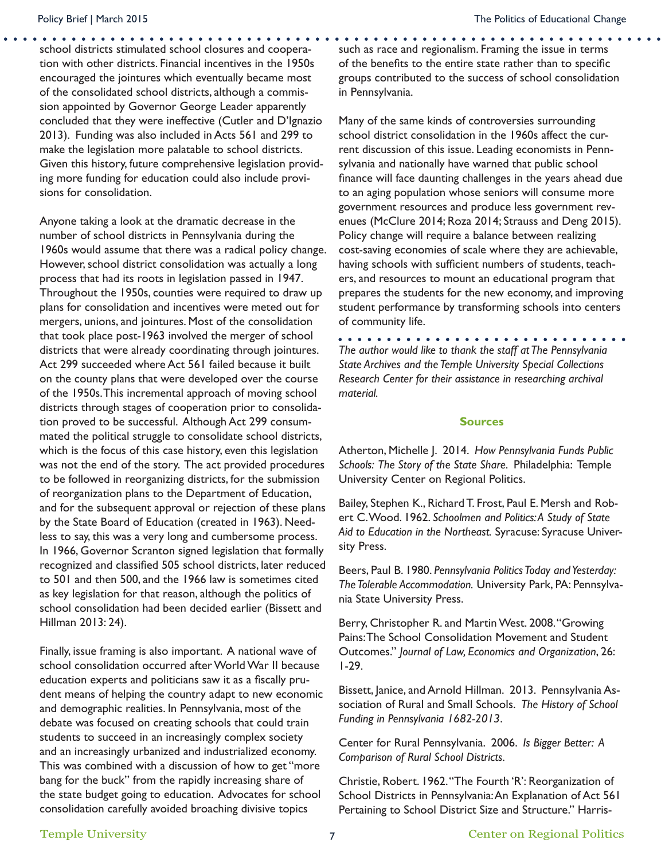school districts stimulated school closures and cooperation with other districts. Financial incentives in the 1950s encouraged the jointures which eventually became most of the consolidated school districts, although a commission appointed by Governor George Leader apparently concluded that they were ineffective (Cutler and D'Ignazio 2013). Funding was also included in Acts 561 and 299 to make the legislation more palatable to school districts. Given this history, future comprehensive legislation providing more funding for education could also include provisions for consolidation.

Anyone taking a look at the dramatic decrease in the number of school districts in Pennsylvania during the 1960s would assume that there was a radical policy change. However, school district consolidation was actually a long process that had its roots in legislation passed in 1947. Throughout the 1950s, counties were required to draw up plans for consolidation and incentives were meted out for mergers, unions, and jointures. Most of the consolidation that took place post-1963 involved the merger of school districts that were already coordinating through jointures. Act 299 succeeded where Act 561 failed because it built on the county plans that were developed over the course of the 1950s. This incremental approach of moving school districts through stages of cooperation prior to consolidation proved to be successful. Although Act 299 consummated the political struggle to consolidate school districts, which is the focus of this case history, even this legislation was not the end of the story. The act provided procedures to be followed in reorganizing districts, for the submission of reorganization plans to the Department of Education, and for the subsequent approval or rejection of these plans by the State Board of Education (created in 1963). Needless to say, this was a very long and cumbersome process. In 1966, Governor Scranton signed legislation that formally recognized and classified 505 school districts, later reduced to 501 and then 500, and the 1966 law is sometimes cited as key legislation for that reason, although the politics of school consolidation had been decided earlier (Bissett and Hillman 2013: 24).

Finally, issue framing is also important. A national wave of school consolidation occurred after World War II because education experts and politicians saw it as a fiscally prudent means of helping the country adapt to new economic and demographic realities. In Pennsylvania, most of the debate was focused on creating schools that could train students to succeed in an increasingly complex society and an increasingly urbanized and industrialized economy. This was combined with a discussion of how to get "more bang for the buck" from the rapidly increasing share of the state budget going to education. Advocates for school consolidation carefully avoided broaching divisive topics

such as race and regionalism. Framing the issue in terms of the benefits to the entire state rather than to specific groups contributed to the success of school consolidation in Pennsylvania.

Many of the same kinds of controversies surrounding school district consolidation in the 1960s affect the current discussion of this issue. Leading economists in Pennsylvania and nationally have warned that public school finance will face daunting challenges in the years ahead due to an aging population whose seniors will consume more government resources and produce less government revenues (McClure 2014; Roza 2014; Strauss and Deng 2015). Policy change will require a balance between realizing cost-saving economies of scale where they are achievable, having schools with sufficient numbers of students, teachers, and resources to mount an educational program that prepares the students for the new economy, and improving student performance by transforming schools into centers of community life.

*The author would like to thank the staff at The Pennsylvania State Archives and the Temple University Special Collections Research Center for their assistance in researching archival material.*

#### **Sources**

Atherton, Michelle J. 2014. *How Pennsylvania Funds Public Schools: The Story of the State Share.* Philadelphia: Temple University Center on Regional Politics.

Bailey, Stephen K., Richard T. Frost, Paul E. Mersh and Robert C. Wood. 1962. *Schoolmen and Politics: A Study of State Aid to Education in the Northeast.* Syracuse: Syracuse University Press.

Beers, Paul B. 1980. *Pennsylvania Politics Today and Yesterday: The Tolerable Accommodation.* University Park, PA: Pennsylvania State University Press.

Berry, Christopher R. and Martin West. 2008. "Growing Pains: The School Consolidation Movement and Student Outcomes." *Journal of Law, Economics and Organization*, 26: 1-29.

Bissett, Janice, and Arnold Hillman. 2013. Pennsylvania Association of Rural and Small Schools. *The History of School Funding in Pennsylvania 1682-2013*.

Center for Rural Pennsylvania. 2006. *Is Bigger Better: A Comparison of Rural School Districts.*

Christie, Robert. 1962. "The Fourth 'R': Reorganization of School Districts in Pennsylvania: An Explanation of Act 561 Pertaining to School District Size and Structure." Harris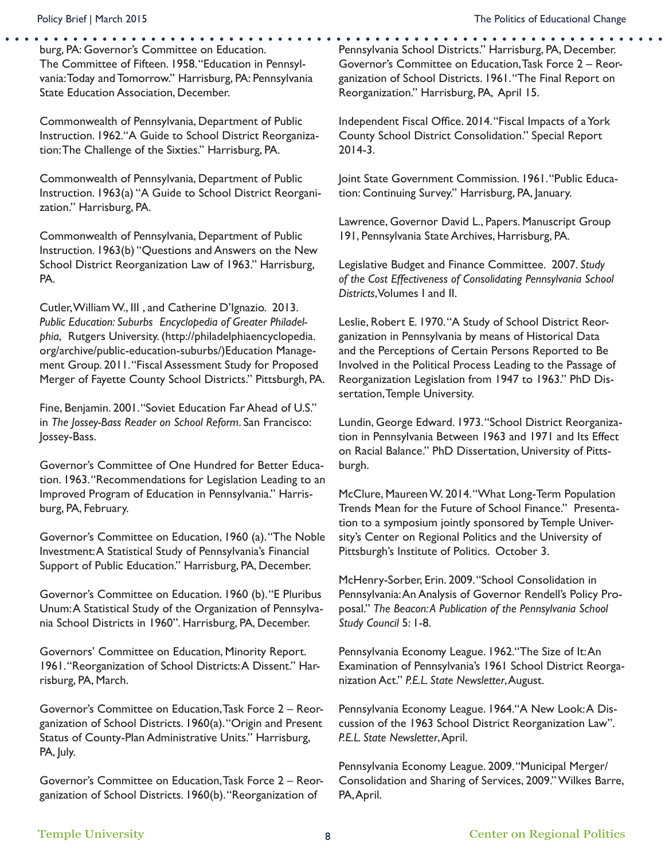burg, PA: Governor's Committee on Education. The Committee of Fifteen. 1958. "Education in Pennsylvania: Today and Tomorrow." Harrisburg, PA: Pennsylvania State Education Association, December.

Commonwealth of Pennsylvania, Department of Public Instruction. 1962."A Guide to School District Reorganization: The Challenge of the Sixties." Harrisburg, PA.

Commonwealth of Pennsylvania, Department of Public Instruction. 1963(a) "A Guide to School District Reorganization." Harrisburg, PA.

Commonwealth of Pennsylvania, Department of Public Instruction. 1963(b) "Questions and Answers on the New School District Reorganization Law of 1963." Harrisburg, PA.

Cutler, William W., III , and Catherine D'Ignazio. 2013. *Public Education: Suburbs Encyclopedia of Greater Philadelphia*, Rutgers University. (http://philadelphiaencyclopedia. org/archive/public-education-suburbs/)Education Management Group. 2011. "Fiscal Assessment Study for Proposed Merger of Fayette County School Districts." Pittsburgh, PA.

Fine, Benjamin. 2001. "Soviet Education Far Ahead of U.S." in *The Jossey-Bass Reader on School Reform*. San Francisco: Jossey-Bass.

Governor's Committee of One Hundred for Better Education. 1963. "Recommendations for Legislation Leading to an Improved Program of Education in Pennsylvania." Harrisburg, PA, February.

Governor's Committee on Education, 1960 (a). "The Noble Investment: A Statistical Study of Pennsylvania's Financial Support of Public Education." Harrisburg, PA, December.

Governor's Committee on Education. 1960 (b). "E Pluribus Unum: A Statistical Study of the Organization of Pennsylvania School Districts in 1960". Harrisburg, PA, December.

Governors' Committee on Education, Minority Report. 1961. "Reorganization of School Districts: A Dissent." Harrisburg, PA, March.

Governor's Committee on Education, Task Force 2 – Reorganization of School Districts. 1960(a). "Origin and Present Status of County-Plan Administrative Units." Harrisburg, PA, July.

Governor's Committee on Education, Task Force 2 – Reorganization of School Districts. 1960(b). "Reorganization of

Pennsylvania School Districts." Harrisburg, PA, December. Governor's Committee on Education, Task Force 2 – Reorganization of School Districts. 1961. "The Final Report on Reorganization." Harrisburg, PA, April 15.

Independent Fiscal Office. 2014. "Fiscal Impacts of a York County School District Consolidation." Special Report 2014-3.

Joint State Government Commission. 1961. "Public Education: Continuing Survey." Harrisburg, PA, January.

Lawrence, Governor David L., Papers. Manuscript Group 191, Pennsylvania State Archives, Harrisburg, PA.

Legislative Budget and Finance Committee. 2007. *Study of the Cost Effectiveness of Consolidating Pennsylvania School Districts*, Volumes I and II.

Leslie, Robert E. 1970. "A Study of School District Reorganization in Pennsylvania by means of Historical Data and the Perceptions of Certain Persons Reported to Be Involved in the Political Process Leading to the Passage of Reorganization Legislation from 1947 to 1963." PhD Dissertation, Temple University.

Lundin, George Edward. 1973. "School District Reorganization in Pennsylvania Between 1963 and 1971 and Its Effect on Racial Balance." PhD Dissertation, University of Pittsburgh.

McClure, Maureen W. 2014. "What Long-Term Population Trends Mean for the Future of School Finance." Presentation to a symposium jointly sponsored by Temple University's Center on Regional Politics and the University of Pittsburgh's Institute of Politics. October 3.

McHenry-Sorber, Erin. 2009. "School Consolidation in Pennsylvania: An Analysis of Governor Rendell's Policy Proposal." *The Beacon: A Publication of the Pennsylvania School Study Council* 5: 1-8.

Pennsylvania Economy League. 1962."The Size of It: An Examination of Pennsylvania's 1961 School District Reorganization Act." *P.E.L. State Newsletter*, August.

Pennsylvania Economy League. 1964. A New Look: A Discussion of the 1963 School District Reorganization Law". *P.E.L. State Newsletter*, April.

Pennsylvania Economy League. 2009. "Municipal Merger/ Consolidation and Sharing of Services, 2009." Wilkes Barre, PA, April.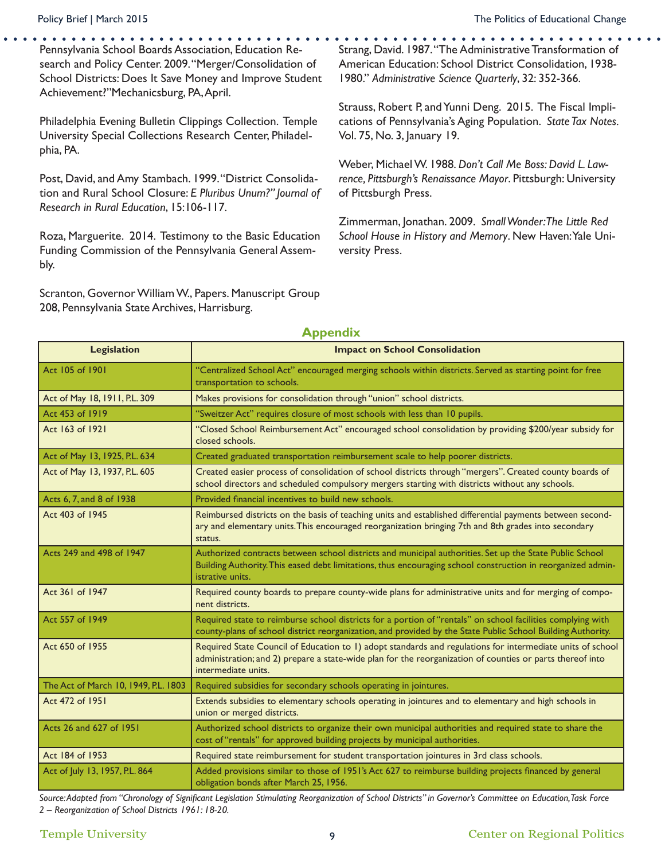Pennsylvania School Boards Association, Education Research and Policy Center. 2009. "Merger/Consolidation of School Districts: Does It Save Money and Improve Student Achievement?"Mechanicsburg, PA, April.

Philadelphia Evening Bulletin Clippings Collection. Temple University Special Collections Research Center, Philadelphia, PA.

Post, David, and Amy Stambach. 1999. "District Consolidation and Rural School Closure: *E Pluribus Unum?" Journal of Research in Rural Education*, 15:106-117.

Roza, Marguerite. 2014. Testimony to the Basic Education Funding Commission of the Pennsylvania General Assembly.

Scranton, Governor William W., Papers. Manuscript Group 208, Pennsylvania State Archives, Harrisburg.

Strang, David. 1987. "The Administrative Transformation of American Education: School District Consolidation, 1938- 1980." *Administrative Science Quarterly*, 32: 352-366.

Strauss, Robert P, and Yunni Deng. 2015. The Fiscal Implications of Pennsylvania's Aging Population. *State Tax Notes.* Vol. 75, No. 3, January 19.

Weber, Michael W. 1988. *Don't Call Me Boss: David L. Lawrence, Pittsburgh's Renaissance Mayor*. Pittsburgh: University of Pittsburgh Press.

Zimmerman, Jonathan. 2009. *Small Wonder: The Little Red School House in History and Memory*. New Haven: Yale University Press.

| <b>Legislation</b>                   | <b>Impact on School Consolidation</b>                                                                                                                                                                                                          |  |  |  |
|--------------------------------------|------------------------------------------------------------------------------------------------------------------------------------------------------------------------------------------------------------------------------------------------|--|--|--|
| Act 105 of 1901                      | "Centralized School Act" encouraged merging schools within districts. Served as starting point for free<br>transportation to schools.                                                                                                          |  |  |  |
| Act of May 18, 1911, P.L. 309        | Makes provisions for consolidation through "union" school districts.                                                                                                                                                                           |  |  |  |
| Act 453 of 1919                      | "Sweitzer Act" requires closure of most schools with less than 10 pupils.                                                                                                                                                                      |  |  |  |
| Act 163 of 1921                      | "Closed School Reimbursement Act" encouraged school consolidation by providing \$200/year subsidy for<br>closed schools.                                                                                                                       |  |  |  |
| Act of May 13, 1925, P.L. 634        | Created graduated transportation reimbursement scale to help poorer districts.                                                                                                                                                                 |  |  |  |
| Act of May 13, 1937, P.L. 605        | Created easier process of consolidation of school districts through "mergers". Created county boards of<br>school directors and scheduled compulsory mergers starting with districts without any schools.                                      |  |  |  |
| Acts 6, 7, and 8 of 1938             | Provided financial incentives to build new schools.                                                                                                                                                                                            |  |  |  |
| Act 403 of 1945                      | Reimbursed districts on the basis of teaching units and established differential payments between second-<br>ary and elementary units. This encouraged reorganization bringing 7th and 8th grades into secondary<br>status.                    |  |  |  |
| Acts 249 and 498 of 1947             | Authorized contracts between school districts and municipal authorities. Set up the State Public School<br>Building Authority. This eased debt limitations, thus encouraging school construction in reorganized admin-<br>istrative units.     |  |  |  |
| Act 361 of 1947                      | Required county boards to prepare county-wide plans for administrative units and for merging of compo-<br>nent districts.                                                                                                                      |  |  |  |
| Act 557 of 1949                      | Required state to reimburse school districts for a portion of "rentals" on school facilities complying with<br>county-plans of school district reorganization, and provided by the State Public School Building Authority.                     |  |  |  |
| Act 650 of 1955                      | Required State Council of Education to 1) adopt standards and regulations for intermediate units of school<br>administration; and 2) prepare a state-wide plan for the reorganization of counties or parts thereof into<br>intermediate units. |  |  |  |
| The Act of March 10, 1949, P.L. 1803 | Required subsidies for secondary schools operating in jointures.                                                                                                                                                                               |  |  |  |
| Act 472 of 1951                      | Extends subsidies to elementary schools operating in jointures and to elementary and high schools in<br>union or merged districts.                                                                                                             |  |  |  |
| Acts 26 and 627 of 1951              | Authorized school districts to organize their own municipal authorities and required state to share the<br>cost of "rentals" for approved building projects by municipal authorities.                                                          |  |  |  |
| Act 184 of 1953                      | Required state reimbursement for student transportation jointures in 3rd class schools.                                                                                                                                                        |  |  |  |
| Act of July 13, 1957, P.L. 864       | Added provisions similar to those of 1951's Act 627 to reimburse building projects financed by general<br>obligation bonds after March 25, 1956.                                                                                               |  |  |  |

#### **Appendix**

*Source: Adapted from "Chronology of Significant Legislation Stimulating Reorganization of School Districts" in Governor's Committee on Education, Task Force 2 – Reorganization of School Districts 1961: 18-20.*